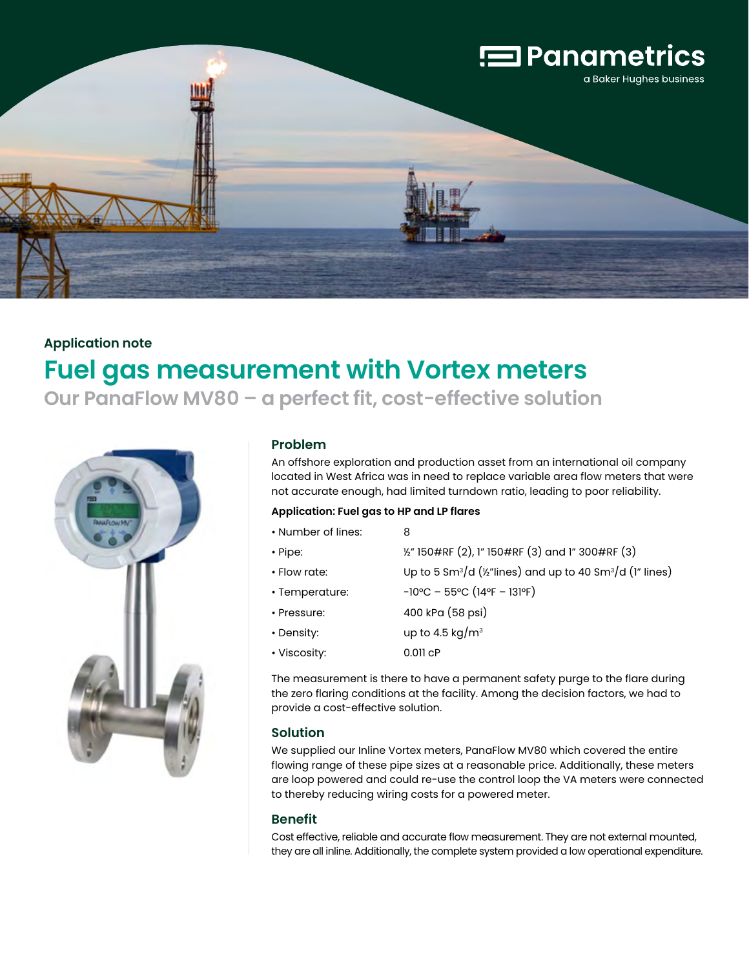

# **Application note Fuel gas measurement with Vortex meters Our PanaFlow MV80 – a perfect fit, cost-effective solution**



## **Problem**

An offshore exploration and production asset from an international oil company located in West Africa was in need to replace variable area flow meters that were not accurate enough, had limited turndown ratio, leading to poor reliability.

#### **Application: Fuel gas to HP and LP flares**

| • Number of lines: | 8                                                                                             |
|--------------------|-----------------------------------------------------------------------------------------------|
| • Pipe:            | 1/2" 150#RF (2), 1" 150#RF (3) and 1" 300#RF (3)                                              |
| • Flow rate:       | Up to 5 Sm <sup>3</sup> /d ( $\frac{1}{2}$ "lines) and up to 40 Sm <sup>3</sup> /d (1" lines) |
| • Temperature:     | $-10^{\circ}$ C – 55°C (14°F – 131°F)                                                         |
| • Pressure:        | 400 kPa (58 psi)                                                                              |
| • Density:         | up to 4.5 kg/ $m3$                                                                            |
| • Viscosity:       | $0.011$ $CP$                                                                                  |

The measurement is there to have a permanent safety purge to the flare during the zero flaring conditions at the facility. Among the decision factors, we had to provide a cost-effective solution.

## **Solution**

We supplied our Inline Vortex meters, PanaFlow MV80 which covered the entire flowing range of these pipe sizes at a reasonable price. Additionally, these meters are loop powered and could re-use the control loop the VA meters were connected to thereby reducing wiring costs for a powered meter.

### **Benefit**

Cost effective, reliable and accurate flow measurement. They are not external mounted, they are all inline. Additionally, the complete system provided a low operational expenditure.